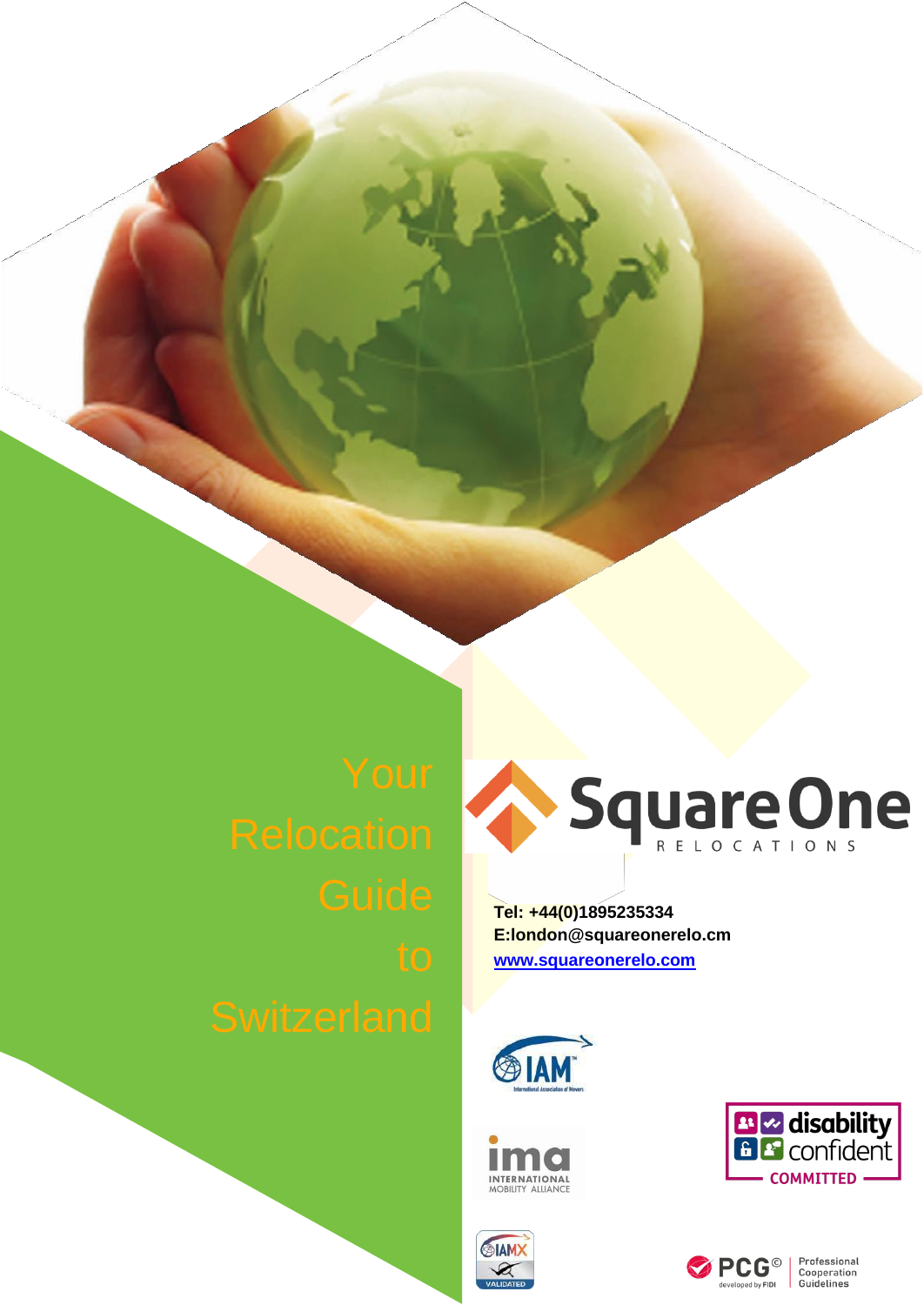

**Tel: +44(0)1895235334 E:london@squareonerelo.cm [www.squareonerelo.com](http://www.squareonerelo.com/)**





**SIAM** 



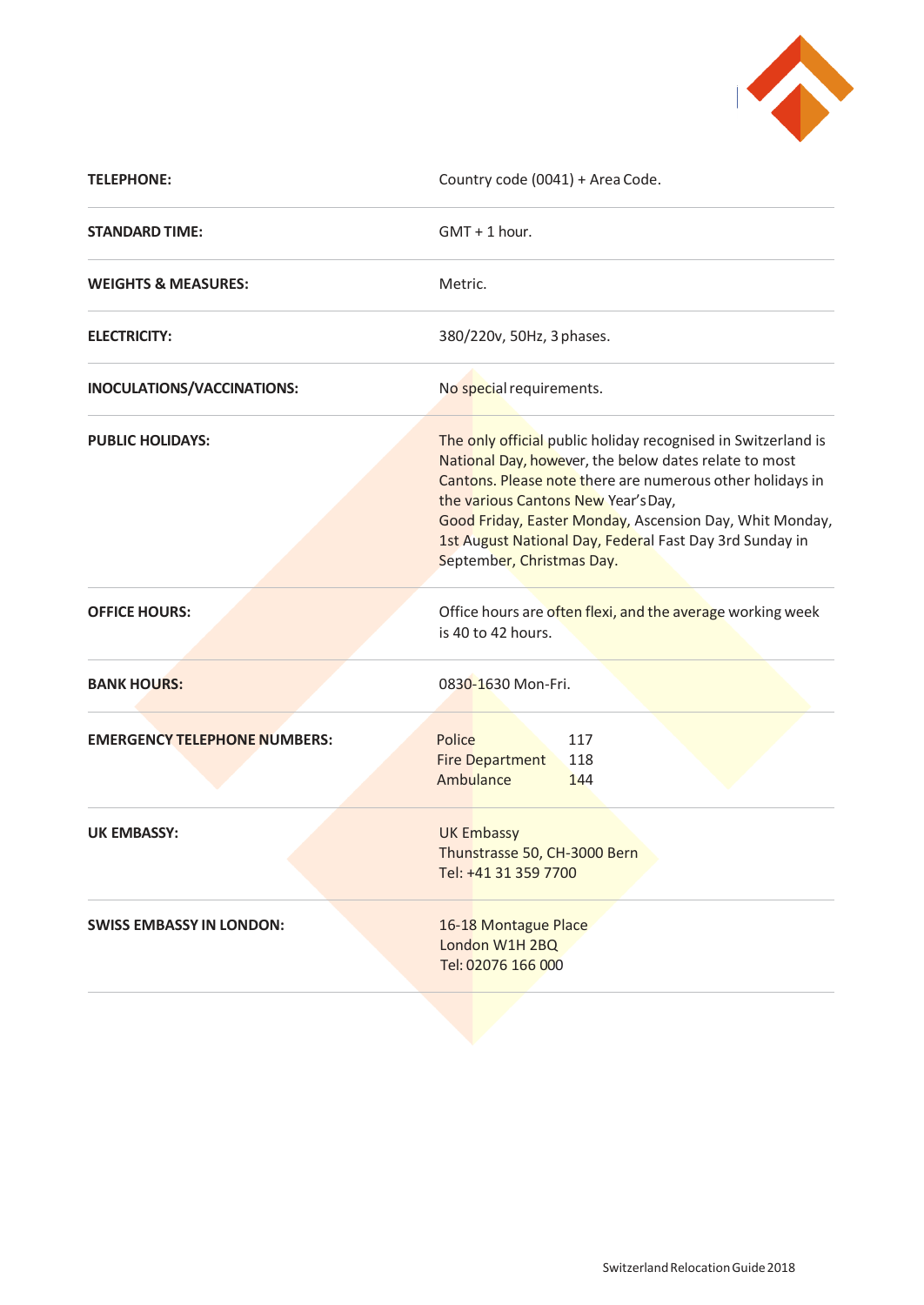

| <b>TELEPHONE:</b>                   | Country code (0041) + Area Code.                                                                                                                                                                                                                                                                                                                                              |
|-------------------------------------|-------------------------------------------------------------------------------------------------------------------------------------------------------------------------------------------------------------------------------------------------------------------------------------------------------------------------------------------------------------------------------|
| <b>STANDARD TIME:</b>               | $GMT + 1$ hour.                                                                                                                                                                                                                                                                                                                                                               |
| <b>WEIGHTS &amp; MEASURES:</b>      | Metric.                                                                                                                                                                                                                                                                                                                                                                       |
| <b>ELECTRICITY:</b>                 | 380/220v, 50Hz, 3 phases.                                                                                                                                                                                                                                                                                                                                                     |
| INOCULATIONS/VACCINATIONS:          | No special requirements.                                                                                                                                                                                                                                                                                                                                                      |
| <b>PUBLIC HOLIDAYS:</b>             | The only official public holiday recognised in Switzerland is<br>National Day, however, the below dates relate to most<br>Cantons. Please note there are numerous other holidays in<br>the various Cantons New Year's Day,<br>Good Friday, Easter Monday, Ascension Day, Whit Monday,<br>1st August National Day, Federal Fast Day 3rd Sunday in<br>September, Christmas Day. |
| <b>OFFICE HOURS:</b>                | Office hours are often flexi, and the average working week<br>is 40 to 42 hours.                                                                                                                                                                                                                                                                                              |
| <b>BANK HOURS:</b>                  | 0830-1630 Mon-Fri.                                                                                                                                                                                                                                                                                                                                                            |
| <b>EMERGENCY TELEPHONE NUMBERS:</b> | Police<br>117<br><b>Fire Department</b><br>118<br>Ambulance<br>144                                                                                                                                                                                                                                                                                                            |
| <b>UK EMBASSY:</b>                  | <b>UK Embassy</b><br>Thunstrasse 50, CH-3000 Bern<br>Tel: +41 31 359 7700                                                                                                                                                                                                                                                                                                     |
| <b>SWISS EMBASSY IN LONDON:</b>     | 16-18 Montague Place<br>London W1H 2BQ<br>Tel: 02076 166 000                                                                                                                                                                                                                                                                                                                  |
|                                     |                                                                                                                                                                                                                                                                                                                                                                               |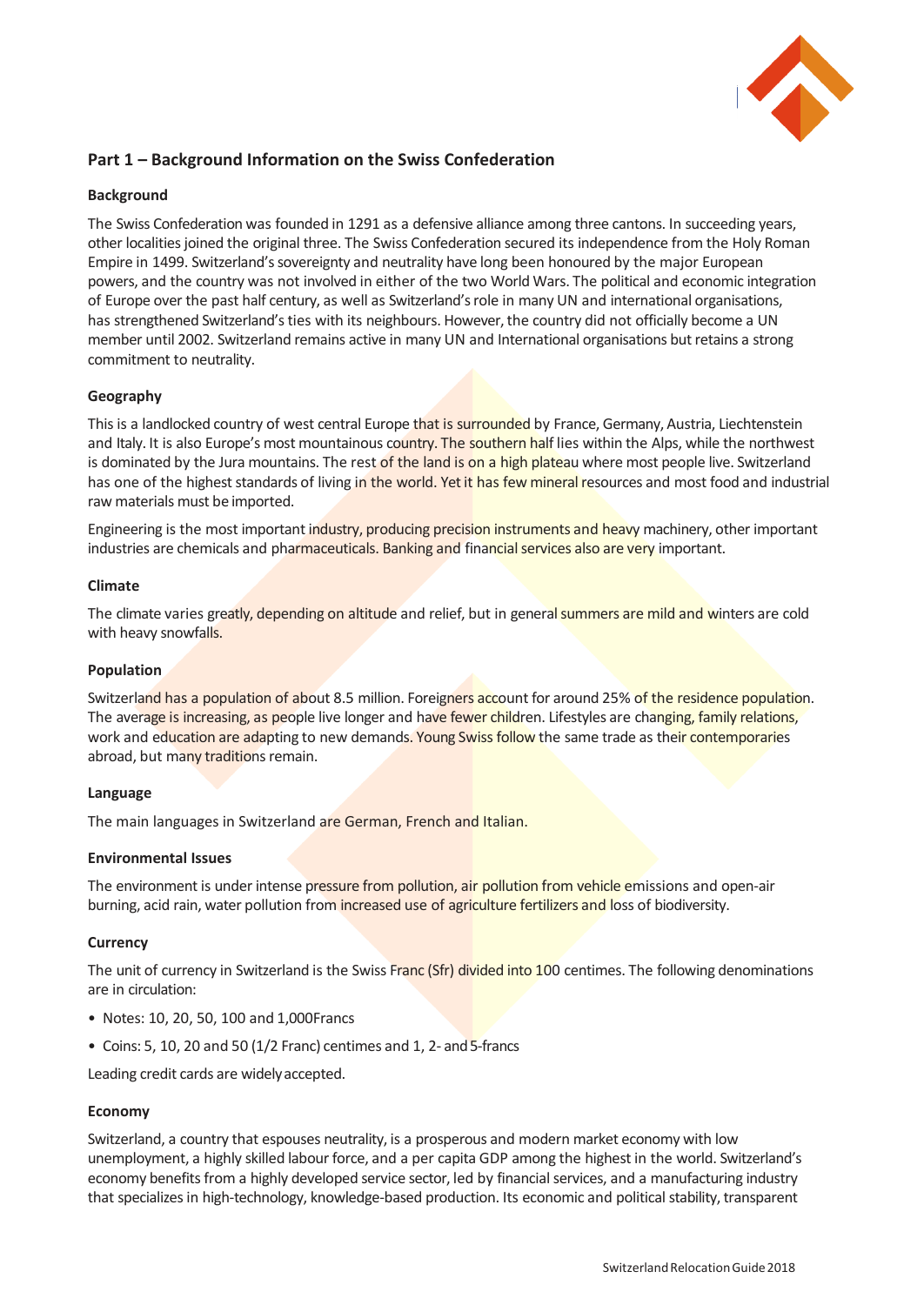

# **Part 1 – Background Information on the Swiss Confederation**

## **Background**

The Swiss Confederation was founded in 1291 as a defensive alliance among three cantons. In succeeding years, other localities joined the original three. The Swiss Confederation secured its independence from the Holy Roman Empire in 1499. Switzerland's sovereignty and neutrality have long been honoured by the major European powers, and the country was not involved in either of the two World Wars. The political and economic integration of Europe over the past half century, as well as Switzerland's role in many UN and international organisations, has strengthened Switzerland's ties with its neighbours. However, the country did not officially become a UN member until 2002. Switzerland remains active in many UN and International organisations but retains a strong commitment to neutrality.

# **Geography**

This is a landlocked country of west central Europe that is surrounded by France, Germany, Austria, Liechtenstein and Italy. It is also Europe's most mountainous country. The southern half lies within the Alps, while the northwest is dominated by the Jura mountains. The rest of the land is on a high plateau where most people live. Switzerland has one of the highest standards of living in the world. Yet it has few mineral resources and most food and industrial raw materials must be imported.

Engineering is the most important industry, producing precision instruments and heavy machinery, other important industries are chemicals and pharmaceuticals. Banking and financial services also are very important.

#### **Climate**

The climate varies greatly, depending on altitude and relief, but in general summers are mild and winters are cold with heavy snowfalls.

#### **Population**

Switzerland has a population of about 8.5 million. Foreigners account for around 25% of the residence population. The average is increasing, as people live longer and have fewer children. Lifestyles are changing, family relations, work and education are adapting to new demands. Young Swiss follow the same trade as their contemporaries abroad, but many traditions remain.

#### **Language**

The main languages in Switzerland are German, French and Italian.

#### **Environmental Issues**

The environment is under intense pressure from pollution, air pollution from vehicle emissions and open-air burning, acid rain, water pollution from increased use of agriculture fertilizers and loss of biodiversity.

#### **Currency**

The unit of currency in Switzerland is the Swiss Franc (Sfr) divided into 100 centimes. The following denominations are in circulation:

- Notes: 10, 20, 50, 100 and 1,000Francs
- Coins: 5, 10, 20 and 50 ( $1/2$  Franc) centimes and 1, 2- and 5-francs

Leading credit cards are widelyaccepted.

#### **Economy**

Switzerland, a country that espouses neutrality, is a prosperous and modern market economy with low unemployment, a highly skilled labour force, and a per capita GDP among the highest in the world. Switzerland's economy benefits from a highly developed service sector, led by financial services, and a manufacturing industry that specializes in high-technology, knowledge-based production. Its economic and political stability, transparent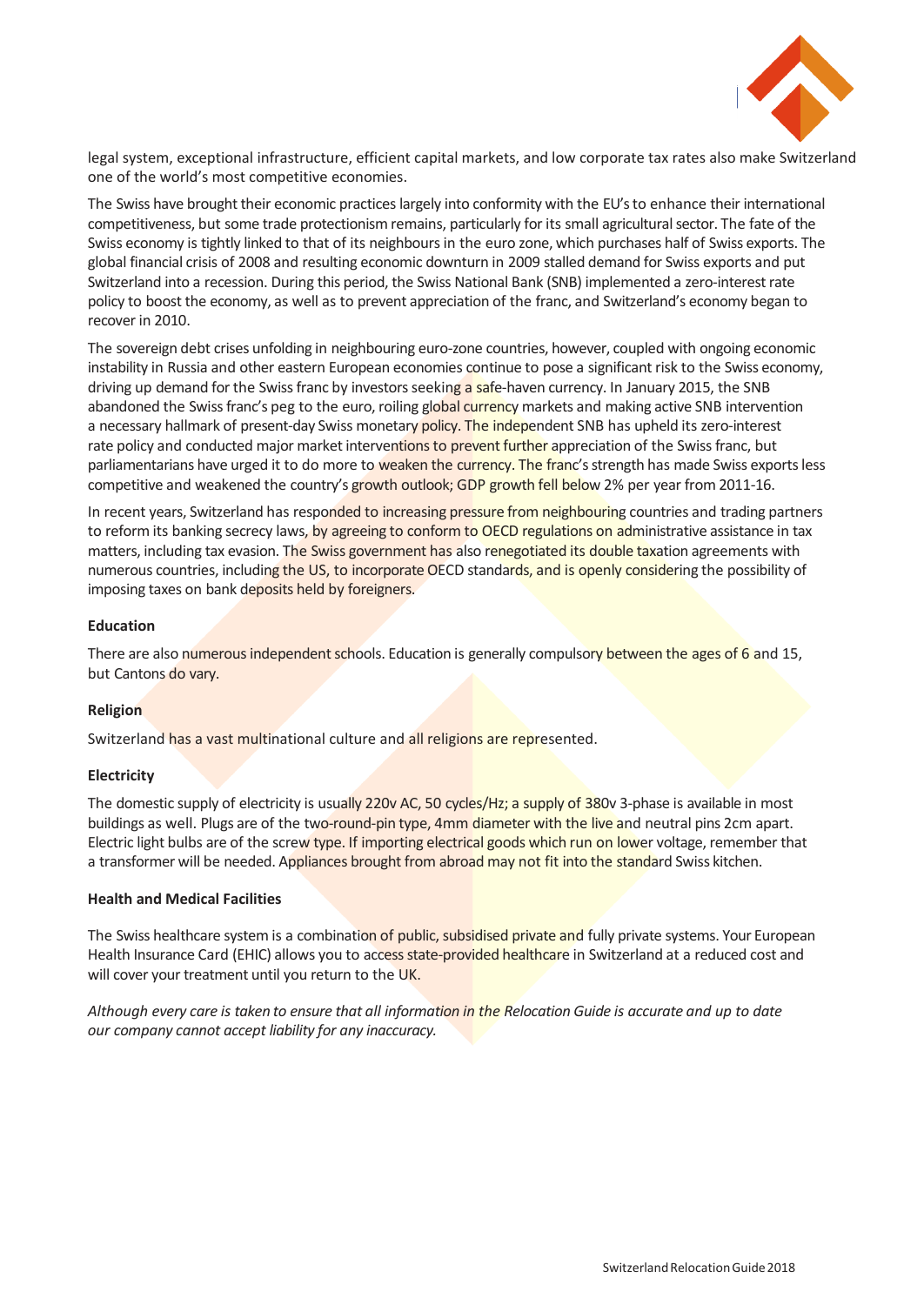

legal system, exceptional infrastructure, efficient capital markets, and low corporate tax rates also make Switzerland one of the world's most competitive economies.

The Swiss have brought their economic practices largely into conformity with the EU's to enhance their international competitiveness, but some trade protectionism remains, particularly for its small agricultural sector. The fate of the Swiss economy is tightly linked to that of its neighbours in the euro zone, which purchases half of Swiss exports. The global financial crisis of 2008 and resulting economic downturn in 2009 stalled demand for Swiss exports and put Switzerland into a recession. During this period, the Swiss National Bank (SNB) implemented a zero-interest rate policy to boost the economy, as well as to prevent appreciation of the franc, and Switzerland's economy began to recover in 2010.

The sovereign debt crises unfolding in neighbouring euro-zone countries, however, coupled with ongoing economic instability in Russia and other eastern European economies continue to pose a significant risk to the Swiss economy, driving up demand for the Swiss franc by investors seeking a safe-haven currency. In January 2015, the SNB abandoned the Swiss franc's peg to the euro, roiling global currency markets and making active SNB intervention a necessary hallmark of present-day Swiss monetary policy. The independent SNB has upheld its zero-interest rate policy and conducted major market interventions to prevent further appreciation of the Swiss franc, but parliamentarians have urged it to do more to weaken the currency. The franc's strength has made Swiss exports less competitive and weakened the country's growth outlook; GDP growth fell below 2% per year from 2011-16.

In recent years, Switzerland has responded to increasing pressure from neighbouring countries and trading partners to reform its banking secrecy laws, by agreeing to conform to OECD regulations on administrative assistance in tax matters, including tax evasion. The Swiss government has also renegotiated its double taxation agreements with numerous countries, including the US, to incorporate OECD standards, and is openly considering the possibility of imposing taxes on bank deposits held by foreigners.

#### **Education**

There are also numerous independent schools. Education is generally compulsory between the ages of 6 and 15, but Cantons do vary.

#### **Religion**

Switzerland has a vast multinational culture and all religions are represented.

#### **Electricity**

The domestic supply of electricity is usually 220v AC, 50 cycles/Hz; a supply of 380v 3-phase is available in most buildings as well. Plugs are of the two-round-pin type, 4mm diameter with the live and neutral pins 2cm apart. Electric light bulbs are of the screw type. If importing electrical goods which run on lower voltage, remember that a transformer will be needed. Appliances brought from abroad may not fit into the standard Swiss kitchen.

#### **Health and Medical Facilities**

The Swiss healthcare system is a combination of public, subsidised private and fully private systems. Your European Health Insurance Card (EHIC) allows you to access state-provided healthcare in Switzerland at a reduced cost and will cover your treatment until you return to the UK.

*Although every care is taken to ensure that all information in the Relocation Guide is accurate and up to date our company cannot accept liability for any inaccuracy.*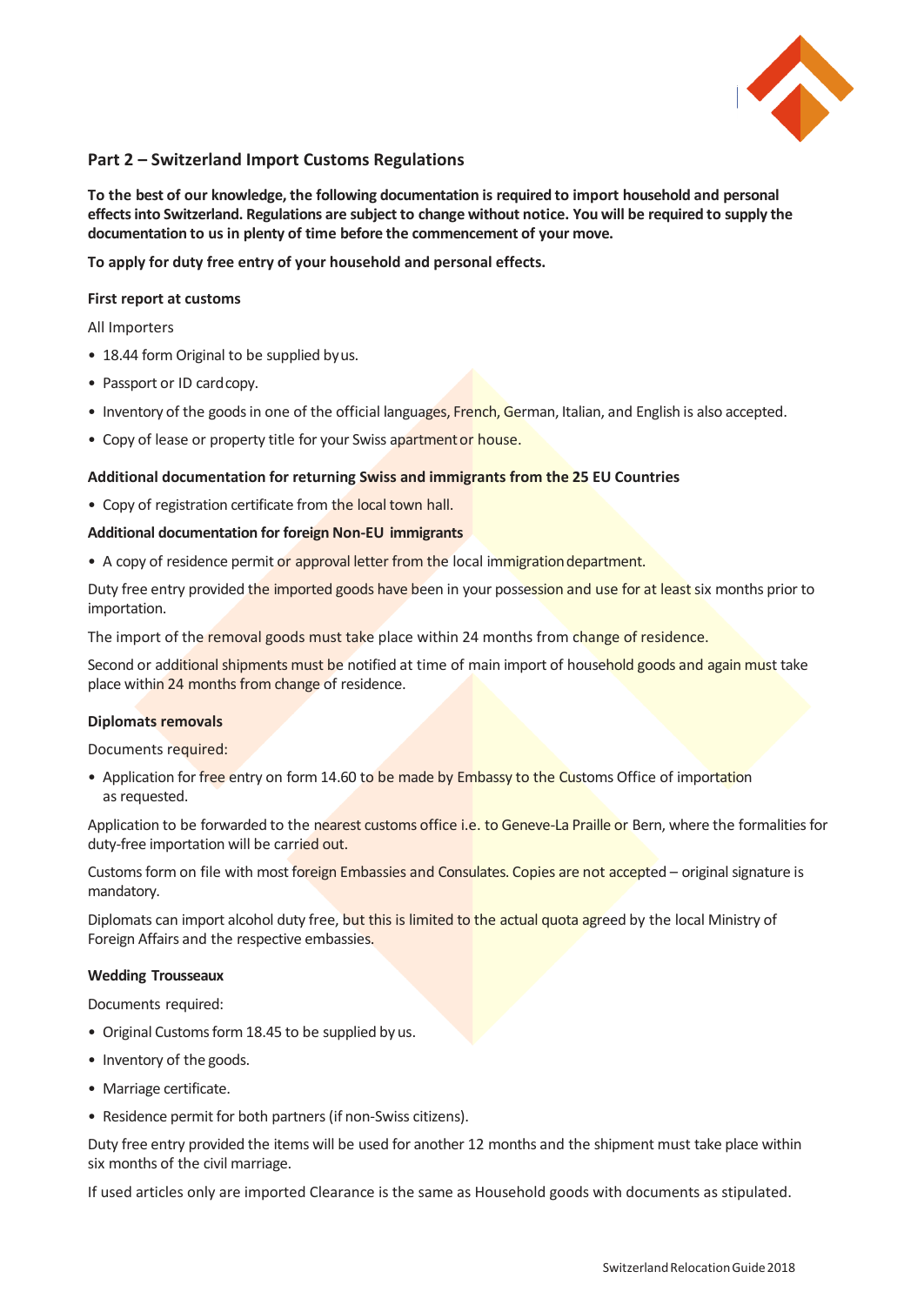

# **Part 2 – Switzerland Import Customs Regulations**

**To the best of our knowledge, the following documentation is required to import household and personal effects into Switzerland. Regulations are subject to change without notice. You will be required to supply the documentation to us in plenty of time before the commencement of your move.**

**To apply for duty free entry of your household and personal effects.**

#### **First report at customs**

All Importers

- 18.44 form Original to be supplied byus.
- Passport or ID cardcopy.
- Inventory of the goods in one of the official languages, French, German, Italian, and English is also accepted.
- Copy of lease or property title for your Swiss apartment or house.

#### **Additional documentation for returning Swiss and immigrants from the 25 EU Countries**

• Copy of registration certificate from the local town hall.

#### **Additional documentation for foreign Non-EU immigrants**

• A copy of residence permit or approval letter from the local immigration department.

Duty free entry provided the imported goods have been in your possession and use for at least six months prior to importation.

The import of the removal goods must take place within 24 months from change of residence.

Second or additional shipments must be notified at time of main import of household goods and again must take place within 24 months from change of residence.

#### **Diplomats removals**

Documents required:

• Application for free entry on form 14.60 to be made by Embassy to the Customs Office of importation as requested.

Application to be forwarded to the nearest customs office i.e. to Geneve-La Praille or Bern, where the formalities for duty-free importation will be carried out.

Customs form on file with most foreign Embassies and Consulates. Copies are not accepted – original signature is mandatory.

Diplomats can import alcohol duty free, but this is limited to the actual quota agreed by the local Ministry of Foreign Affairs and the respective embassies.

#### **Wedding Trousseaux**

Documents required:

- Original Customs form 18.45 to be supplied by us.
- Inventory of the goods.
- Marriage certificate.
- Residence permit for both partners (if non-Swiss citizens).

Duty free entry provided the items will be used for another 12 months and the shipment must take place within six months of the civil marriage.

If used articles only are imported Clearance is the same as Household goods with documents as stipulated.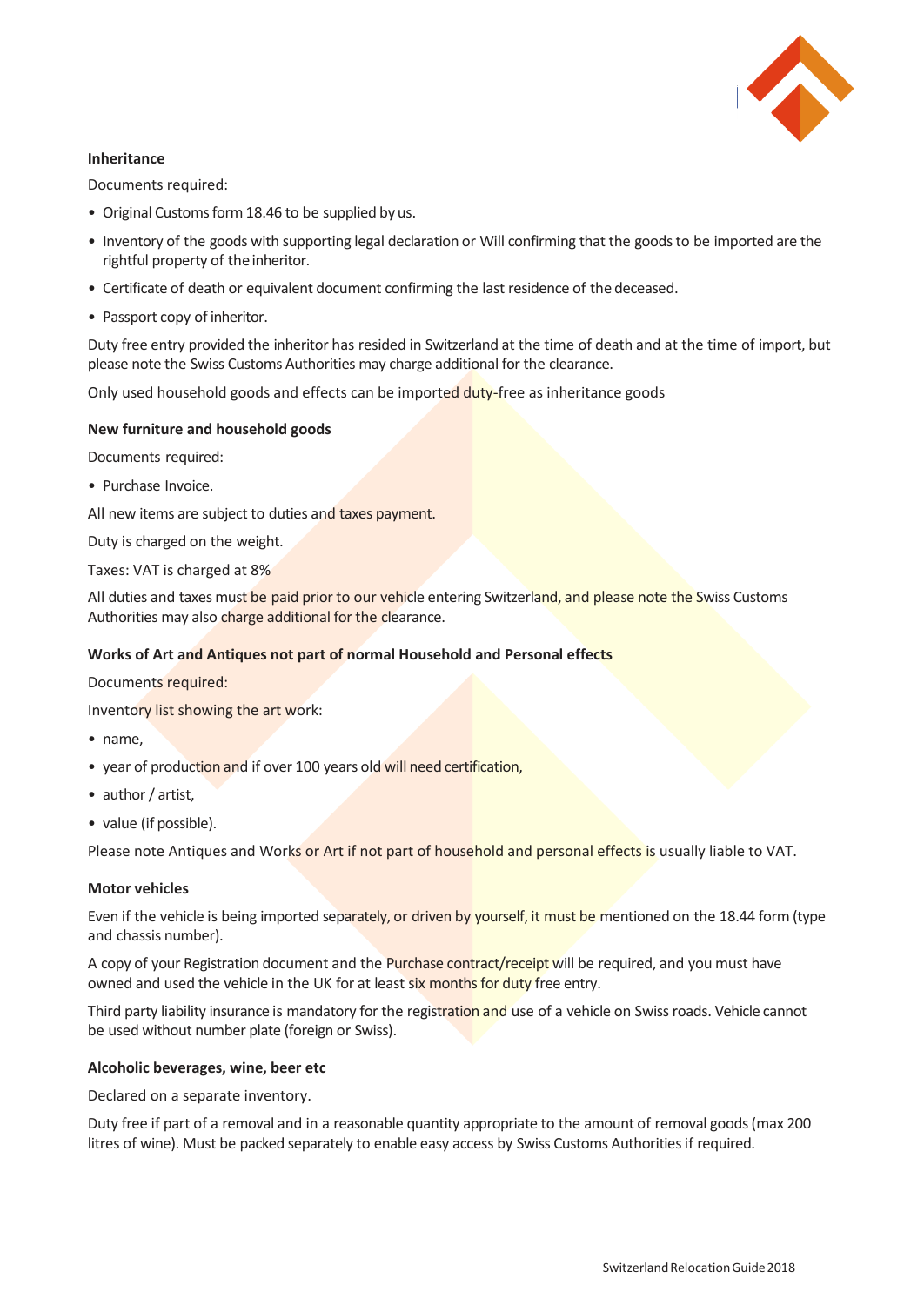

# **Inheritance**

Documents required:

- Original Customs form 18.46 to be supplied by us.
- Inventory of the goods with supporting legal declaration or Will confirming that the goods to be imported are the rightful property of the inheritor.
- Certificate of death or equivalent document confirming the last residence of the deceased.
- Passport copy of inheritor.

Duty free entry provided the inheritor has resided in Switzerland at the time of death and at the time of import, but please note the Swiss Customs Authorities may charge additional for the clearance.

Only used household goods and effects can be imported duty-free as inheritance goods

## **New furniture and household goods**

Documents required:

• Purchase Invoice.

All new items are subject to duties and taxes payment.

Duty is charged on the weight.

Taxes: VAT is charged at 8%

All duties and taxes must be paid prior to our vehicle entering Switzerland, and please note the Swiss Customs Authorities may also charge additional for the clearance.

# **Works of Art and Antiques not part of normal Household and Personal effects**

Documents required:

Inventory list showing the art work:

- name,
- year of production and if over 100 years old will need certification,
- author / artist,
- value (if possible).

Please note Antiques and Works or Art if not part of household and personal effects is usually liable to VAT.

#### **Motor vehicles**

Even if the vehicle is being imported separately, or driven by yourself, it must be mentioned on the 18.44 form (type and chassis number).

A copy of your Registration document and the Purchase contract/receipt will be required, and you must have owned and used the vehicle in the UK for at least six months for duty free entry.

Third party liability insurance is mandatory for the registration and use of a vehicle on Swiss roads. Vehicle cannot be used without number plate (foreign or Swiss).

#### **Alcoholic beverages, wine, beer etc**

Declared on a separate inventory.

Duty free if part of a removal and in a reasonable quantity appropriate to the amount of removal goods (max 200 litres of wine). Must be packed separately to enable easy access by Swiss Customs Authorities if required.